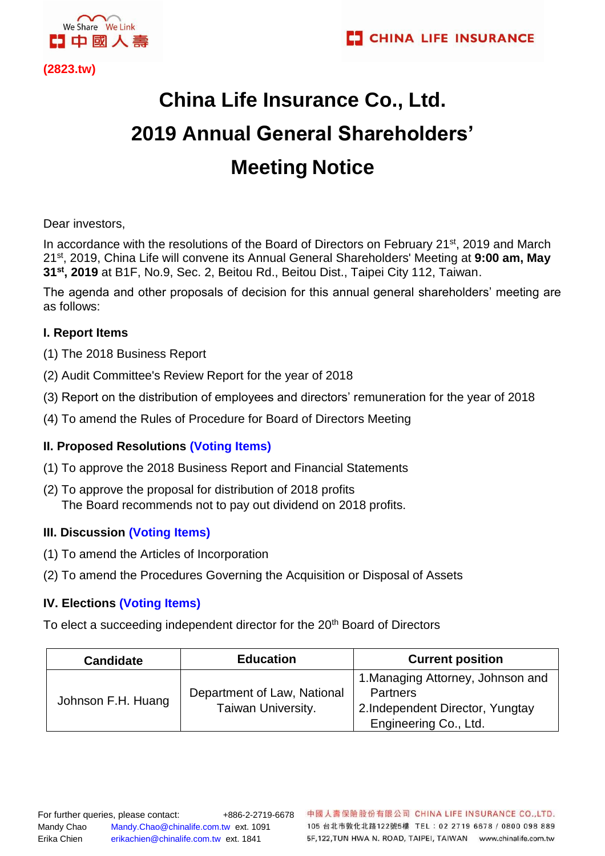

**(2823.tw)** 

# **China Life Insurance Co., Ltd. 2019 Annual General Shareholders' Meeting Notice**

Dear investors,

In accordance with the resolutions of the Board of Directors on February 21<sup>st</sup>, 2019 and March 21st, 2019, China Life will convene its Annual General Shareholders' Meeting at **9:00 am, May 31st, 2019** at B1F, No.9, Sec. 2, Beitou Rd., Beitou Dist., Taipei City 112, Taiwan.

The agenda and other proposals of decision for this annual general shareholders' meeting are as follows:

## **I. Report Items**

- (1) The 2018 Business Report
- (2) Audit Committee's Review Report for the year of 2018
- (3) Report on the distribution of employees and directors' remuneration for the year of 2018
- (4) To amend the Rules of Procedure for Board of Directors Meeting

## **II. Proposed Resolutions (Voting Items)**

- (1) To approve the 2018 Business Report and Financial Statements
- (2) To approve the proposal for distribution of 2018 profits The Board recommends not to pay out dividend on 2018 profits.

## **III. Discussion (Voting Items)**

- (1) To amend the Articles of Incorporation
- (2) To amend the Procedures Governing the Acquisition or Disposal of Assets

## **IV. Elections (Voting Items)**

To elect a succeeding independent director for the 20<sup>th</sup> Board of Directors

| <b>Candidate</b>   | <b>Education</b>                                  | <b>Current position</b>                                                                                           |
|--------------------|---------------------------------------------------|-------------------------------------------------------------------------------------------------------------------|
| Johnson F.H. Huang | Department of Law, National<br>Taiwan University. | 1. Managing Attorney, Johnson and<br><b>Partners</b><br>2. Independent Director, Yungtay<br>Engineering Co., Ltd. |